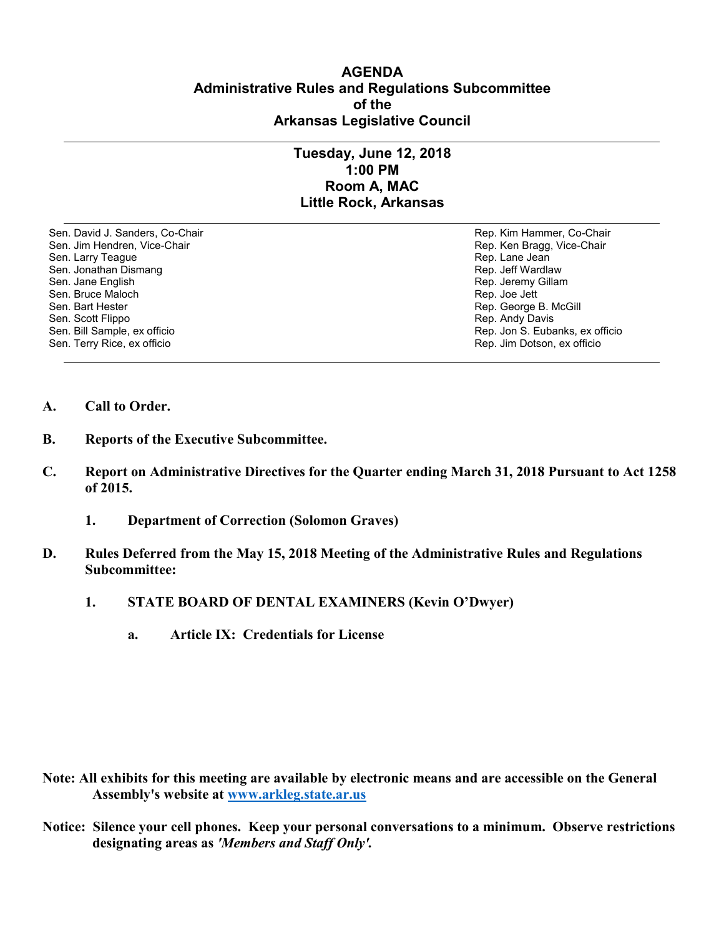## **AGENDA Administrative Rules and Regulations Subcommittee of the Arkansas Legislative Council**

## **Tuesday, June 12, 2018 1:00 PM Room A, MAC Little Rock, Arkansas**

Sen. David J. Sanders, Co-Chair Rep. Kim Hammer, Co-Chair Sen. Jim Hendren, Vice-Chair Rep. Ken Bragg, Vice-Chair Rep. Ken Bragg, Vice-Chair Sen. Larry Teague Rep. Lane Jean Controller and Sen. Lane Jean Controller and Sen. Lane Jean Controller and Se<br>Sen. Jonathan Dismang Rep. Jeff Wardlaw Sen. Jonathan Dismang<br>Sen. Jane English Sen. Bruce Maloch Rep. Joe Jett Sen. Bruce Maloch Rep. Joe Jett Rep. Joe Jett Rep. Joe Jett Rep. Joe Jett Sen. Bart Hester Rep. Joe Jett Rep. Joe Jett Sen. Bart Hester Rep. Joe Jett Rep. George Sen. Bart Hester Sen. Bart Hester Sen. Bart Hester Sen. Bart Hester Sen. Bart Hester Sen. Behalt Bart Sen. Scott<br>Sen. Scott Flippo Sen. Scott Flippo Rep. Andy Davis Sen. Terry Rice, ex officio Rep. Jim Dotson, ex officio

Rep. Jeremy Gillam Rep. Jon S. Eubanks, ex officio

- **A. Call to Order.**
- **B. Reports of the Executive Subcommittee.**
- **C. Report on Administrative Directives for the Quarter ending March 31, 2018 Pursuant to Act 1258 of 2015.** 
	- **1. Department of Correction (Solomon Graves)**
- **D. Rules Deferred from the May 15, 2018 Meeting of the Administrative Rules and Regulations Subcommittee:**
	- **1. STATE BOARD OF DENTAL EXAMINERS (Kevin O'Dwyer)**
		- **a. Article IX: Credentials for License**

- **Note: All exhibits for this meeting are available by electronic means and are accessible on the General Assembly's website at [www.arkleg.state.ar.us](http://www.arkleg.state.ar.us)**
- **Notice: Silence your cell phones. Keep your personal conversations to a minimum. Observe restrictions designating areas as** *'Members and Staff Only'.*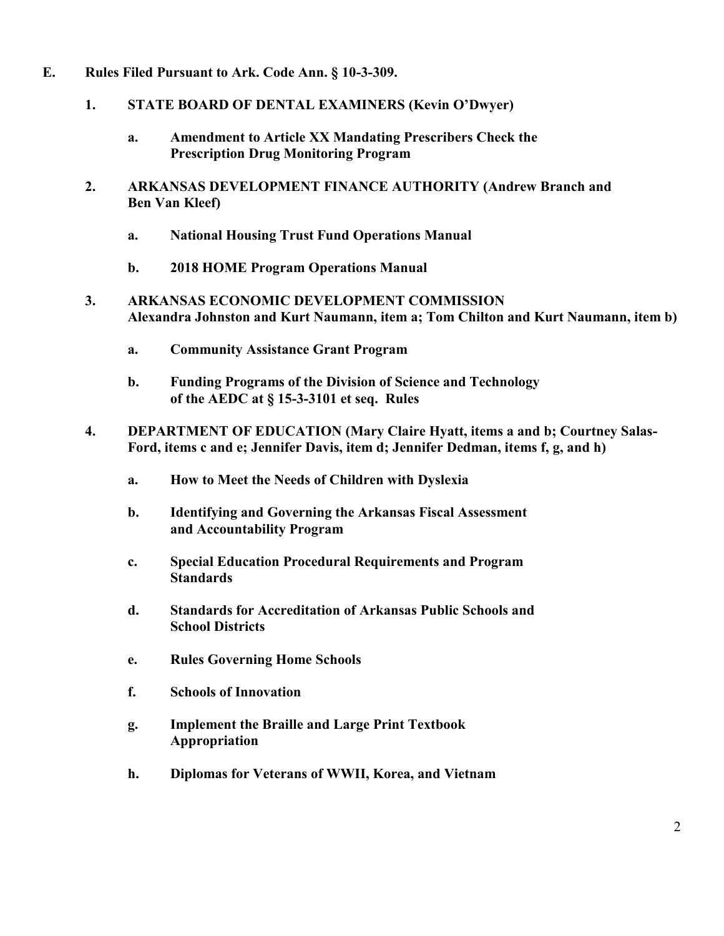- **E. Rules Filed Pursuant to Ark. Code Ann. § 10-3-309.**
	- **1. STATE BOARD OF DENTAL EXAMINERS (Kevin O'Dwyer)**
		- **a. Amendment to Article XX Mandating Prescribers Check the Prescription Drug Monitoring Program**
	- **2. ARKANSAS DEVELOPMENT FINANCE AUTHORITY (Andrew Branch and Ben Van Kleef)**
		- **a. National Housing Trust Fund Operations Manual**
		- **b. 2018 HOME Program Operations Manual**
	- **3. ARKANSAS ECONOMIC DEVELOPMENT COMMISSION Alexandra Johnston and Kurt Naumann, item a; Tom Chilton and Kurt Naumann, item b)**
		- **a. Community Assistance Grant Program**
		- **b. Funding Programs of the Division of Science and Technology of the AEDC at § 15-3-3101 et seq. Rules**
	- **4. DEPARTMENT OF EDUCATION (Mary Claire Hyatt, items a and b; Courtney Salas-Ford, items c and e; Jennifer Davis, item d; Jennifer Dedman, items f, g, and h)**
		- **a. How to Meet the Needs of Children with Dyslexia**
		- **b. Identifying and Governing the Arkansas Fiscal Assessment and Accountability Program**
		- **c. Special Education Procedural Requirements and Program Standards**
		- **d. Standards for Accreditation of Arkansas Public Schools and School Districts**
		- **e. Rules Governing Home Schools**
		- **f. Schools of Innovation**
		- **g. Implement the Braille and Large Print Textbook Appropriation**
		- **h. Diplomas for Veterans of WWII, Korea, and Vietnam**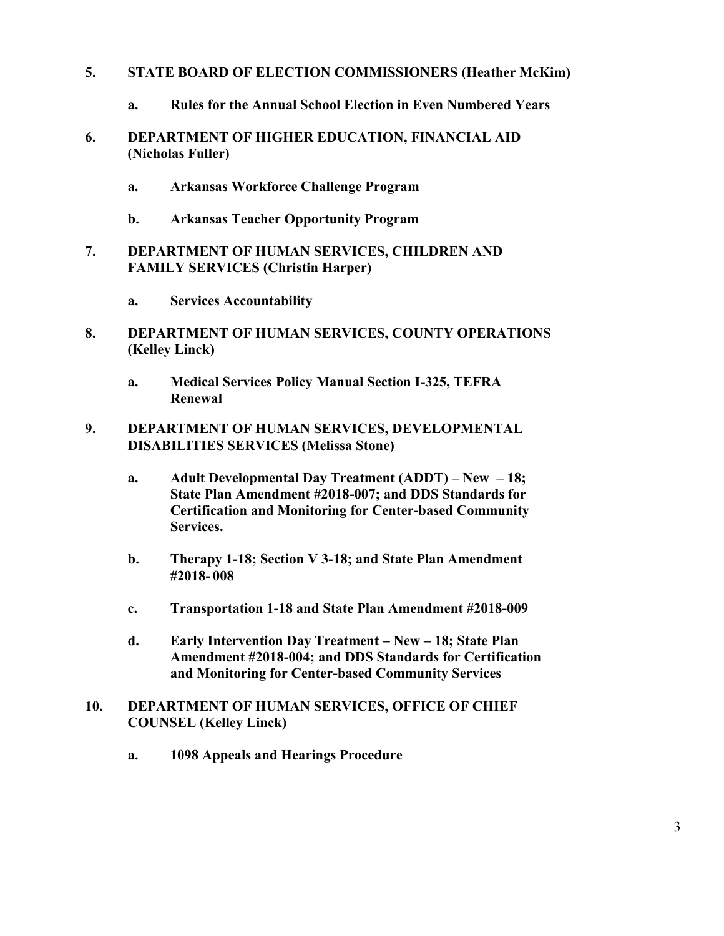- **5. STATE BOARD OF ELECTION COMMISSIONERS (Heather McKim)**
	- **a. Rules for the Annual School Election in Even Numbered Years**
- **6. DEPARTMENT OF HIGHER EDUCATION, FINANCIAL AID (Nicholas Fuller)**
	- **a. Arkansas Workforce Challenge Program**
	- **b. Arkansas Teacher Opportunity Program**
- **7. DEPARTMENT OF HUMAN SERVICES, CHILDREN AND FAMILY SERVICES (Christin Harper)**
	- **a. Services Accountability**
- **8. DEPARTMENT OF HUMAN SERVICES, COUNTY OPERATIONS (Kelley Linck)**
	- **a. Medical Services Policy Manual Section I-325, TEFRA Renewal**
- **9. DEPARTMENT OF HUMAN SERVICES, DEVELOPMENTAL DISABILITIES SERVICES (Melissa Stone)**
	- **a. Adult Developmental Day Treatment (ADDT) – New – 18; State Plan Amendment #2018-007; and DDS Standards for Certification and Monitoring for Center-based Community Services.**
	- **b. Therapy 1-18; Section V 3-18; and State Plan Amendment #2018- 008**
	- **c. Transportation 1-18 and State Plan Amendment #2018-009**
	- **d. Early Intervention Day Treatment – New – 18; State Plan Amendment #2018-004; and DDS Standards for Certification and Monitoring for Center-based Community Services**
- **10. DEPARTMENT OF HUMAN SERVICES, OFFICE OF CHIEF COUNSEL (Kelley Linck)**
	- **a. 1098 Appeals and Hearings Procedure**